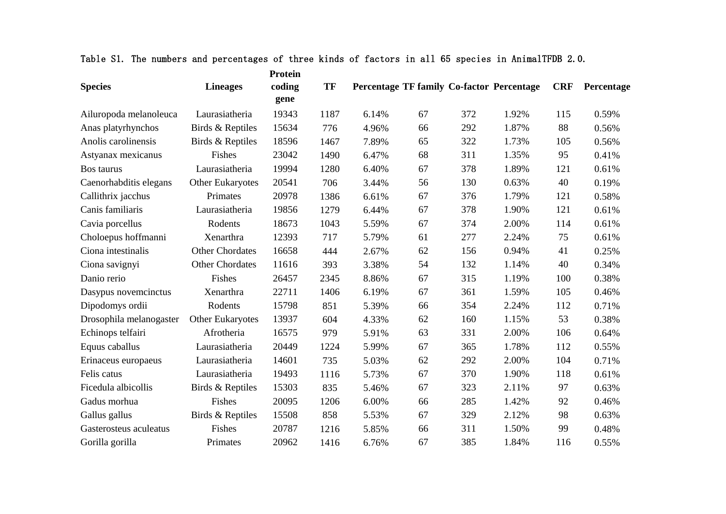|                         |                         | <b>Protein</b> |      |       |    |     |                                           |            |            |
|-------------------------|-------------------------|----------------|------|-------|----|-----|-------------------------------------------|------------|------------|
| <b>Species</b>          | <b>Lineages</b>         | coding<br>gene | TF   |       |    |     | Percentage TF family Co-factor Percentage | <b>CRF</b> | Percentage |
| Ailuropoda melanoleuca  | Laurasiatheria          | 19343          | 1187 | 6.14% | 67 | 372 | 1.92%                                     | 115        | 0.59%      |
| Anas platyrhynchos      | Birds & Reptiles        | 15634          | 776  | 4.96% | 66 | 292 | 1.87%                                     | 88         | 0.56%      |
| Anolis carolinensis     | Birds & Reptiles        | 18596          | 1467 | 7.89% | 65 | 322 | 1.73%                                     | 105        | 0.56%      |
| Astyanax mexicanus      | Fishes                  | 23042          | 1490 | 6.47% | 68 | 311 | 1.35%                                     | 95         | 0.41%      |
| Bos taurus              | Laurasiatheria          | 19994          | 1280 | 6.40% | 67 | 378 | 1.89%                                     | 121        | 0.61%      |
| Caenorhabditis elegans  | <b>Other Eukaryotes</b> | 20541          | 706  | 3.44% | 56 | 130 | 0.63%                                     | 40         | 0.19%      |
| Callithrix jacchus      | Primates                | 20978          | 1386 | 6.61% | 67 | 376 | 1.79%                                     | 121        | 0.58%      |
| Canis familiaris        | Laurasiatheria          | 19856          | 1279 | 6.44% | 67 | 378 | 1.90%                                     | 121        | 0.61%      |
| Cavia porcellus         | Rodents                 | 18673          | 1043 | 5.59% | 67 | 374 | 2.00%                                     | 114        | 0.61%      |
| Choloepus hoffmanni     | Xenarthra               | 12393          | 717  | 5.79% | 61 | 277 | 2.24%                                     | 75         | 0.61%      |
| Ciona intestinalis      | <b>Other Chordates</b>  | 16658          | 444  | 2.67% | 62 | 156 | 0.94%                                     | 41         | 0.25%      |
| Ciona savignyi          | <b>Other Chordates</b>  | 11616          | 393  | 3.38% | 54 | 132 | 1.14%                                     | 40         | 0.34%      |
| Danio rerio             | Fishes                  | 26457          | 2345 | 8.86% | 67 | 315 | 1.19%                                     | 100        | 0.38%      |
| Dasypus novemcinctus    | Xenarthra               | 22711          | 1406 | 6.19% | 67 | 361 | 1.59%                                     | 105        | 0.46%      |
| Dipodomys ordii         | Rodents                 | 15798          | 851  | 5.39% | 66 | 354 | 2.24%                                     | 112        | 0.71%      |
| Drosophila melanogaster | Other Eukaryotes        | 13937          | 604  | 4.33% | 62 | 160 | 1.15%                                     | 53         | 0.38%      |
| Echinops telfairi       | Afrotheria              | 16575          | 979  | 5.91% | 63 | 331 | 2.00%                                     | 106        | 0.64%      |
| Equus caballus          | Laurasiatheria          | 20449          | 1224 | 5.99% | 67 | 365 | 1.78%                                     | 112        | 0.55%      |
| Erinaceus europaeus     | Laurasiatheria          | 14601          | 735  | 5.03% | 62 | 292 | 2.00%                                     | 104        | 0.71%      |
| Felis catus             | Laurasiatheria          | 19493          | 1116 | 5.73% | 67 | 370 | 1.90%                                     | 118        | 0.61%      |
| Ficedula albicollis     | Birds & Reptiles        | 15303          | 835  | 5.46% | 67 | 323 | 2.11%                                     | 97         | 0.63%      |
| Gadus morhua            | Fishes                  | 20095          | 1206 | 6.00% | 66 | 285 | 1.42%                                     | 92         | 0.46%      |
| Gallus gallus           | Birds & Reptiles        | 15508          | 858  | 5.53% | 67 | 329 | 2.12%                                     | 98         | 0.63%      |
| Gasterosteus aculeatus  | Fishes                  | 20787          | 1216 | 5.85% | 66 | 311 | 1.50%                                     | 99         | 0.48%      |
| Gorilla gorilla         | Primates                | 20962          | 1416 | 6.76% | 67 | 385 | 1.84%                                     | 116        | 0.55%      |

|  |  |  | Table S1. The numbers and percentages of three kinds of factors in all 65 species in AnimalTFDB 2.0. |  |  |  |  |  |  |  |  |  |  |  |  |  |
|--|--|--|------------------------------------------------------------------------------------------------------|--|--|--|--|--|--|--|--|--|--|--|--|--|
|--|--|--|------------------------------------------------------------------------------------------------------|--|--|--|--|--|--|--|--|--|--|--|--|--|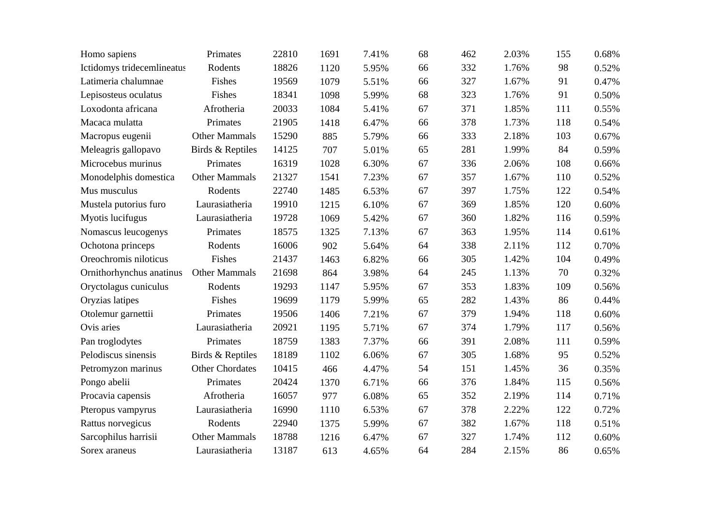| Homo sapiens               | Primates               | 22810 | 1691 | 7.41% | 68 | 462 | 2.03% | 155 | 0.68% |
|----------------------------|------------------------|-------|------|-------|----|-----|-------|-----|-------|
| Ictidomys tridecemlineatus | Rodents                | 18826 | 1120 | 5.95% | 66 | 332 | 1.76% | 98  | 0.52% |
| Latimeria chalumnae        | Fishes                 | 19569 | 1079 | 5.51% | 66 | 327 | 1.67% | 91  | 0.47% |
| Lepisosteus oculatus       | Fishes                 | 18341 | 1098 | 5.99% | 68 | 323 | 1.76% | 91  | 0.50% |
| Loxodonta africana         | Afrotheria             | 20033 | 1084 | 5.41% | 67 | 371 | 1.85% | 111 | 0.55% |
| Macaca mulatta             | Primates               | 21905 | 1418 | 6.47% | 66 | 378 | 1.73% | 118 | 0.54% |
| Macropus eugenii           | <b>Other Mammals</b>   | 15290 | 885  | 5.79% | 66 | 333 | 2.18% | 103 | 0.67% |
| Meleagris gallopavo        | Birds & Reptiles       | 14125 | 707  | 5.01% | 65 | 281 | 1.99% | 84  | 0.59% |
| Microcebus murinus         | Primates               | 16319 | 1028 | 6.30% | 67 | 336 | 2.06% | 108 | 0.66% |
| Monodelphis domestica      | Other Mammals          | 21327 | 1541 | 7.23% | 67 | 357 | 1.67% | 110 | 0.52% |
| Mus musculus               | Rodents                | 22740 | 1485 | 6.53% | 67 | 397 | 1.75% | 122 | 0.54% |
| Mustela putorius furo      | Laurasiatheria         | 19910 | 1215 | 6.10% | 67 | 369 | 1.85% | 120 | 0.60% |
| Myotis lucifugus           | Laurasiatheria         | 19728 | 1069 | 5.42% | 67 | 360 | 1.82% | 116 | 0.59% |
| Nomascus leucogenys        | Primates               | 18575 | 1325 | 7.13% | 67 | 363 | 1.95% | 114 | 0.61% |
| Ochotona princeps          | Rodents                | 16006 | 902  | 5.64% | 64 | 338 | 2.11% | 112 | 0.70% |
| Oreochromis niloticus      | Fishes                 | 21437 | 1463 | 6.82% | 66 | 305 | 1.42% | 104 | 0.49% |
| Ornithorhynchus anatinus   | <b>Other Mammals</b>   | 21698 | 864  | 3.98% | 64 | 245 | 1.13% | 70  | 0.32% |
| Oryctolagus cuniculus      | Rodents                | 19293 | 1147 | 5.95% | 67 | 353 | 1.83% | 109 | 0.56% |
| Oryzias latipes            | Fishes                 | 19699 | 1179 | 5.99% | 65 | 282 | 1.43% | 86  | 0.44% |
| Otolemur garnettii         | Primates               | 19506 | 1406 | 7.21% | 67 | 379 | 1.94% | 118 | 0.60% |
| Ovis aries                 | Laurasiatheria         | 20921 | 1195 | 5.71% | 67 | 374 | 1.79% | 117 | 0.56% |
| Pan troglodytes            | Primates               | 18759 | 1383 | 7.37% | 66 | 391 | 2.08% | 111 | 0.59% |
| Pelodiscus sinensis        | Birds & Reptiles       | 18189 | 1102 | 6.06% | 67 | 305 | 1.68% | 95  | 0.52% |
| Petromyzon marinus         | <b>Other Chordates</b> | 10415 | 466  | 4.47% | 54 | 151 | 1.45% | 36  | 0.35% |
| Pongo abelii               | Primates               | 20424 | 1370 | 6.71% | 66 | 376 | 1.84% | 115 | 0.56% |
| Procavia capensis          | Afrotheria             | 16057 | 977  | 6.08% | 65 | 352 | 2.19% | 114 | 0.71% |
| Pteropus vampyrus          | Laurasiatheria         | 16990 | 1110 | 6.53% | 67 | 378 | 2.22% | 122 | 0.72% |
| Rattus norvegicus          | Rodents                | 22940 | 1375 | 5.99% | 67 | 382 | 1.67% | 118 | 0.51% |
| Sarcophilus harrisii       | <b>Other Mammals</b>   | 18788 | 1216 | 6.47% | 67 | 327 | 1.74% | 112 | 0.60% |
| Sorex araneus              | Laurasiatheria         | 13187 | 613  | 4.65% | 64 | 284 | 2.15% | 86  | 0.65% |